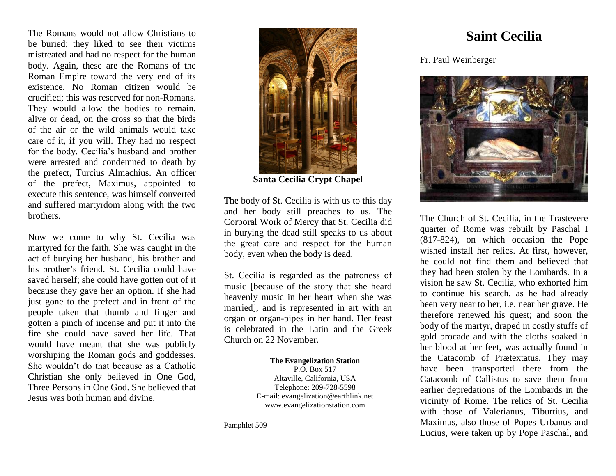The Romans would not allow Christians to be buried; they liked to see their victims mistreated and had no respect for the human body. Again, these are the Romans of the Roman Empire toward the very end of its existence. No Roman citizen would be crucified; this was reserved for non-Romans. They would allow the bodies to remain, alive or dead, on the cross so that the birds of the air or the wild animals would take care of it, if you will. They had no respect for the body. Cecilia's husband and brother were arrested and condemned to death by the prefect, Turcius Almachius. An officer of the prefect, Maximus, appointed to execute this sentence, was himself converted and suffered martyrdom along with the two brothers.

Now we come to why St. Cecilia was martyred for the faith. She was caught in the act of burying her husband, his brother and his brother's friend. St. Cecilia could have saved herself; she could have gotten out of it because they gave her an option. If she had just gone to the prefect and in front of the people taken that thumb and finger and gotten a pinch of incense and put it into the fire she could have saved her life. That would have meant that she was publicly worshiping the Roman gods and goddesses. She wouldn't do that because as a Catholic Christian she only believed in One God, Three Persons in One God. She believed that Jesus was both human and divine.



**Santa Cecilia Crypt Chapel**

The body of St. Cecilia is with us to this day and her body still preaches to us. The Corporal Work of Mercy that St. Cecilia did in burying the dead still speaks to us about the great care and respect for the human body, even when the body is dead.

St. Cecilia is regarded as the patroness of music [because of the story that she heard heavenly music in her heart when she was married], and is represented in art with an organ or organ-pipes in her hand. Her feast is celebrated in the Latin and the Greek Church on 22 November.

> **The Evangelization Station**  P.O. Box 517 Altaville, California, USA Telephone: 209-728-5598 E-mail: evangelization@earthlink.net [www.evangelizationstation.com](http://www.pjpiisoe.org/)

Pamphlet 509

## **Saint Cecilia**

Fr. Paul Weinberger



The Church of St. Cecilia, in the Trastevere quarter of Rome was rebuilt by Paschal I (817-824), on which occasion the Pope wished install her relics. At first, however, he could not find them and believed that they had been stolen by the Lombards. In a vision he saw St. Cecilia, who exhorted him to continue his search, as he had already been very near to her, i.e. near her [grave.](http://www.newadvent.org/cathen/14773b.htm) He therefore renewed his quest; and soon the body of the [martyr,](http://www.newadvent.org/cathen/09736b.htm) draped in costly stuffs of gold brocade and with the cloths soaked in her blood at her feet, was actually found in the [Catacomb](http://www.newadvent.org/cathen/03417b.htm) of Prætextatus. They may have been transported there from the [Catacomb](http://www.newadvent.org/cathen/03417b.htm) of Callistus to save them from earlier depredations of the Lombards in the vicinity of [Rome.](http://www.newadvent.org/cathen/13164a.htm) The [relics](http://www.newadvent.org/cathen/12734a.htm) of St. Cecilia with those of Valerianus, Tiburtius, and Maximus, also those of Popes [Urbanus](http://www.newadvent.org/cathen/15209a.htm) and [Lucius,](http://www.newadvent.org/cathen/09411a.htm) were taken up by [Pope Paschal,](http://www.newadvent.org/cathen/11514a.htm) and